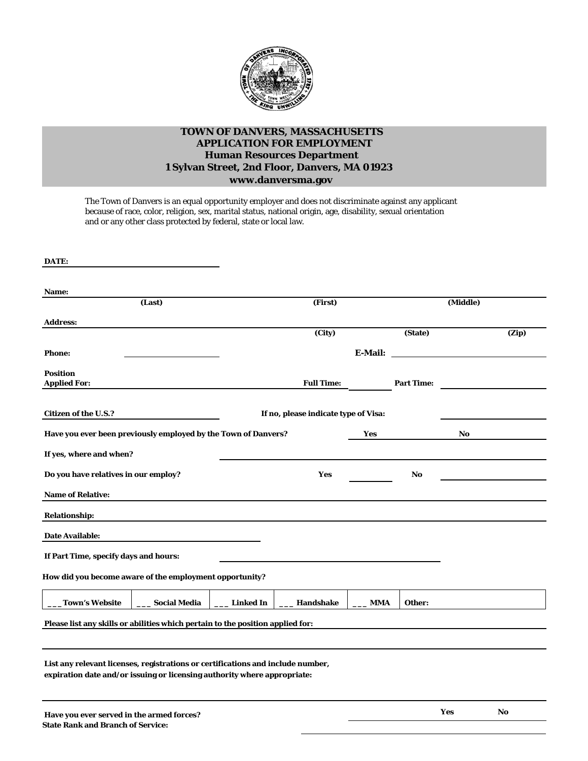

## **TOWN OF DANVERS, MASSACHUSETTS APPLICATION FOR EMPLOYMENT Human Resources Department 1 Sylvan Street, 2nd Floor, Danvers, MA 01923**

**[www.danversma.gov](http://www.danversma.gov/)**

The Town of Danvers is an equal opportunity employer and does not discriminate against any applicant because of race, color, religion, sex, marital status, national origin, age, disability, sexual orientation and or any other class protected by federal, state or local law.

| DATE:                                                                                                                                                       |                     |                  |                                      |            |                   |          |       |  |  |
|-------------------------------------------------------------------------------------------------------------------------------------------------------------|---------------------|------------------|--------------------------------------|------------|-------------------|----------|-------|--|--|
| Name:                                                                                                                                                       |                     |                  |                                      |            |                   |          |       |  |  |
|                                                                                                                                                             | (Last)              |                  | (First)                              |            |                   | (Middle) |       |  |  |
| <b>Address:</b>                                                                                                                                             |                     |                  |                                      |            |                   |          |       |  |  |
|                                                                                                                                                             |                     |                  | $\overline{(City)}$                  |            | (State)           |          | (Zip) |  |  |
| <b>Phone:</b>                                                                                                                                               |                     |                  |                                      | E-Mail:    |                   |          |       |  |  |
| <b>Position</b><br><b>Applied For:</b>                                                                                                                      |                     |                  | <b>Full Time:</b>                    |            | <b>Part Time:</b> |          |       |  |  |
| <b>Citizen of the U.S.?</b>                                                                                                                                 |                     |                  | If no, please indicate type of Visa: |            |                   |          |       |  |  |
| Have you ever been previously employed by the Town of Danvers?                                                                                              |                     |                  |                                      | Yes        |                   | No       |       |  |  |
| If yes, where and when?                                                                                                                                     |                     |                  |                                      |            |                   |          |       |  |  |
| Do you have relatives in our employ?                                                                                                                        |                     |                  | <b>Yes</b>                           |            | No                |          |       |  |  |
| <b>Name of Relative:</b>                                                                                                                                    |                     |                  |                                      |            |                   |          |       |  |  |
| <b>Relationship:</b>                                                                                                                                        |                     |                  |                                      |            |                   |          |       |  |  |
| <b>Date Available:</b>                                                                                                                                      |                     |                  |                                      |            |                   |          |       |  |  |
| If Part Time, specify days and hours:                                                                                                                       |                     |                  |                                      |            |                   |          |       |  |  |
| How did you become aware of the employment opportunity?                                                                                                     |                     |                  |                                      |            |                   |          |       |  |  |
| <b>Town's Website</b>                                                                                                                                       | <b>Social Media</b> | <b>Linked In</b> | Handshake                            | <b>MMA</b> | Other:            |          |       |  |  |
| Please list any skills or abilities which pertain to the position applied for:                                                                              |                     |                  |                                      |            |                   |          |       |  |  |
| List any relevant licenses, registrations or certifications and include number,<br>expiration date and/or issuing or licensing authority where appropriate: |                     |                  |                                      |            |                   |          |       |  |  |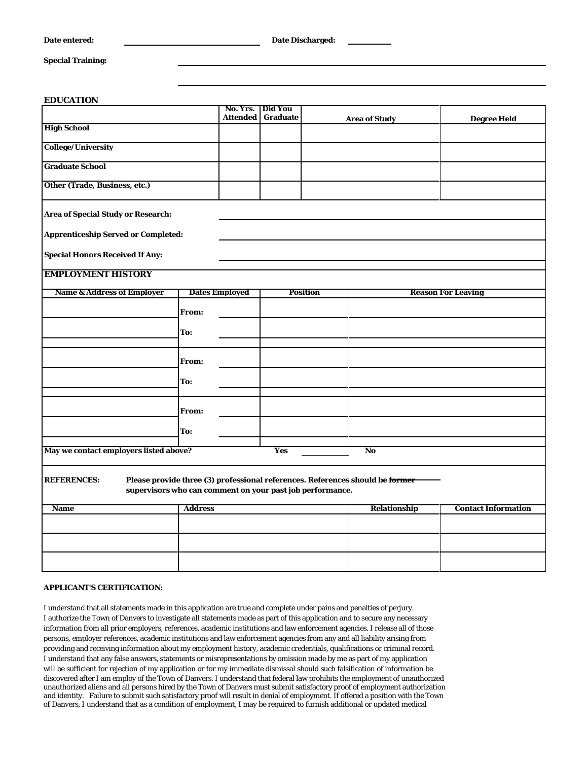## **Special Training:**

## **EDUCATION**

|                                            | No. Yrs.                                                  | Did You<br>Attended Graduate | <b>Area of Study</b>                                                          | <b>Degree Held</b>         |
|--------------------------------------------|-----------------------------------------------------------|------------------------------|-------------------------------------------------------------------------------|----------------------------|
| <b>High School</b>                         |                                                           |                              |                                                                               |                            |
| <b>College/University</b>                  |                                                           |                              |                                                                               |                            |
| <b>Graduate School</b>                     |                                                           |                              |                                                                               |                            |
| Other (Trade, Business, etc.)              |                                                           |                              |                                                                               |                            |
| <b>Area of Special Study or Research:</b>  |                                                           |                              |                                                                               |                            |
| <b>Apprenticeship Served or Completed:</b> |                                                           |                              |                                                                               |                            |
| <b>Special Honors Received If Any:</b>     |                                                           |                              |                                                                               |                            |
| <b>EMPLOYMENT HISTORY</b>                  |                                                           |                              |                                                                               |                            |
| <b>Name &amp; Address of Employer</b>      | <b>Dates Employed</b>                                     |                              | <b>Position</b>                                                               | <b>Reason For Leaving</b>  |
|                                            | From:                                                     |                              |                                                                               |                            |
|                                            | To:                                                       |                              |                                                                               |                            |
|                                            |                                                           |                              |                                                                               |                            |
|                                            | From:                                                     |                              |                                                                               |                            |
|                                            | To:                                                       |                              |                                                                               |                            |
|                                            | From:                                                     |                              |                                                                               |                            |
|                                            | To:                                                       |                              |                                                                               |                            |
| May we contact employers listed above?     | <b>Yes</b>                                                | No                           |                                                                               |                            |
| <b>REFERENCES:</b>                         | supervisors who can comment on your past job performance. |                              | Please provide three (3) professional references. References should be former |                            |
| <b>Name</b>                                | <b>Address</b>                                            |                              | Relationship                                                                  | <b>Contact Information</b> |
|                                            |                                                           |                              |                                                                               |                            |
|                                            |                                                           |                              |                                                                               |                            |
|                                            |                                                           |                              |                                                                               |                            |

## **APPLICANT'S CERTIFICATION:**

I understand that all statements made in this application are true and complete under pains and penalties of perjury. I authorize the Town of Danvers to investigate all statements made as part of this application and to secure any necessary information from all prior employers, references, academic institutions and law enforcement agencies. I release all of those persons, employer references, academic institutions and law enforcement agencies from any and all liability arising from providing and receiving information about my employment history, academic credentials, qualifications or criminal record. I understand that any false answers, statements or misrepresentations by omission made by me as part of my application will be sufficient for rejection of my application or for my immediate dismissal should such falsification of information be discovered after I am employ of the Town of Danvers. I understand that federal law prohibits the employment of unauthorized unauthorized aliens and all persons hired by the Town of Danvers must submit satisfactory proof of employment authorization and identity. Failure to submit such satisfactory proof will result in denial of employment. If offered a position with the Town of Danvers, I understand that as a condition of employment, I may be required to furnish additional or updated medical